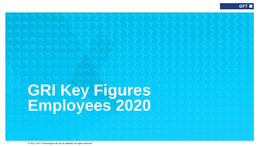## **GRI Key Figures Employees 2020**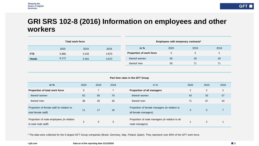### **GRI SRS 102-8 (2016) Information on employees and other workers**

| <b>Total work force</b> |       |       |       |  |  |  |
|-------------------------|-------|-------|-------|--|--|--|
|                         | 2020  | 2019  | 2018  |  |  |  |
| FTE.                    | 5.986 | 5.242 | 4.875 |  |  |  |
| <b>Heads</b>            | 6.172 | 5.461 | 4.872 |  |  |  |

| in $%$                   | 2020 | 2019 | 2018 |
|--------------------------|------|------|------|
| Proportion of work force |      | 3    |      |
| thereof women            | 50   | 29   | 29   |
| thereof men              | 50   |      |      |

**Employees with temporary contracts\*** 

|  |  |  |  |  |  | Part time rates in the GFT Group |
|--|--|--|--|--|--|----------------------------------|
|--|--|--|--|--|--|----------------------------------|

| in $%$                                                            | 2020 | 2019 | 2018 | in $%$                                                                | 2020 | 2019           | 2018 |
|-------------------------------------------------------------------|------|------|------|-----------------------------------------------------------------------|------|----------------|------|
| Proportion of total work force                                    | 5    |      | 7    | Proportion of all managers                                            | 2    | $\overline{2}$ | 2    |
| thereof women                                                     | 62   | 65   | 70   | thereof women                                                         | 43   | 33             | 57   |
| thereof men                                                       | 38   | 35   | 30   | thereof men                                                           | 71   | 67             | 43   |
| Proportion of female staff (in relation to<br>total female staff) | 11   | 17   | 18   | Proportion of female managers (in relation to<br>all female managers) | 3    | 5              |      |
| Proportion of male employees (in relation<br>to total male staff) | 2    | 3    | 3    | Proportion of male managers (in relation to all<br>male managers)     |      | 2              |      |

\* The data were collected for the 5 largest GFT Group companies (Brazil, Germany, Italy, Poland, Spain). They represent over 80% of the GFT work force.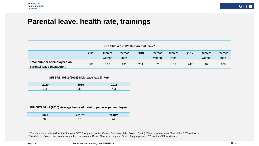## **Parental leave, health rate, trainings**

#### **GRI SRS 401-3 (2016) Parental leave\***

|                              | 2020 | thereof | thereof | 2018 | thereof | thereof | 2017 | thereof | thereof |
|------------------------------|------|---------|---------|------|---------|---------|------|---------|---------|
|                              |      | women   | men     |      | women   | men     |      | women   | men     |
| Total number of employees on | 308  | 117     | 191     | 234  | 82      | 152     | 247  | 82      | 168     |
| parental leave (headcount)   |      |         |         |      |         |         |      |         |         |

#### **GRI SRS 403-2 (2016) Sick leave rate (in %)\***

| 2020 | 2019       | 2018 |
|------|------------|------|
| 3.8  | ? ຂ<br>o.o | 4.3  |

#### **GRI SRS 404-1 (2016) Average hours of training per year per employee**

| 2020    | 2019** | 2018** |
|---------|--------|--------|
| ?<br>ےر |        | ົ<br>~ |

\* The data were collected for the 5 largest GFT Group companies (Brazil, Germany, Italy, Poland, Spain). They represent over 80% of the GFT workforce.

\*\* No data for Poland, the data includes the companies in Brazil, Germany, Italy and Spain. They represent 73% of the GFT workforce.